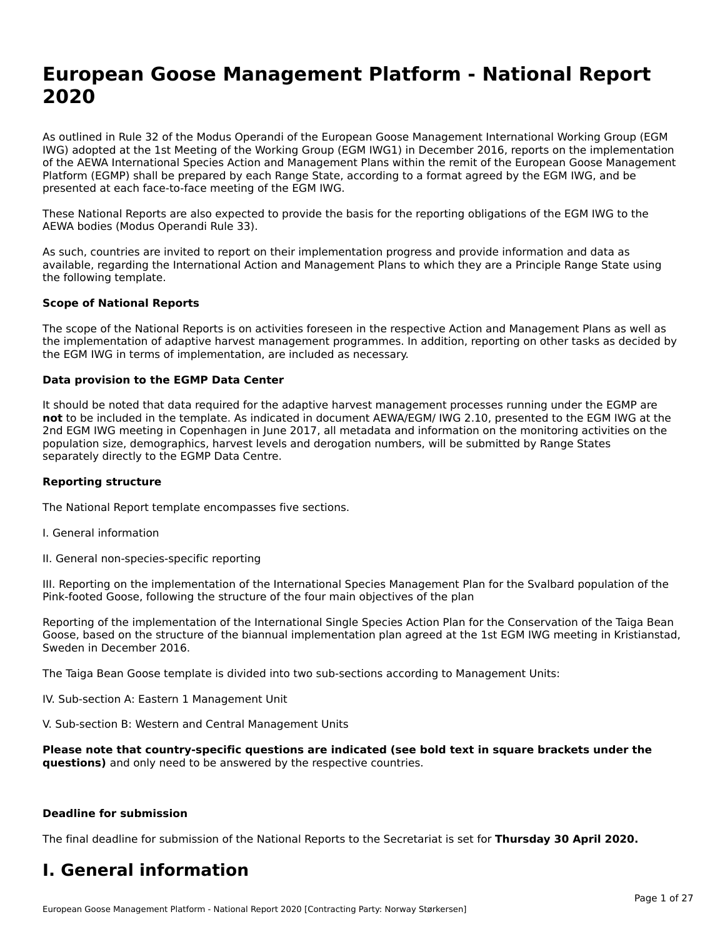# **European Goose Management Platform - National Report**European Goose Management Platform - National **Neport**<br>2020

As outlined in Rule 32 of the Modus Operandi of the European Goose Management International Working Group (EGM As buthled in Rule 32 of the Modus Operandi of the Lufopean Goose Management International Working Group (LGM<br>IWG) adopted at the 1st Meeting of the Working Group (EGM IWG1) in December 2016, reports on the implementation of the AEWA International Species Action and Management Plans within the remit of the European Goose Management Platform (EGMP) shall be prepared by each Range State, according to a format agreed by the EGM IWG, and be presented at each face-to-face meeting of the EGM IWG.

These National Reports are also expected to provide the basis for the reporting obligations of the EGM IWG to the AEWA bodies (Modus Operandi Rule 33).

As such, countries are invited to report on their implementation progress and provide information and data as<br>available, regarding the International Action and Management Plans to which they are a Principle Range State usi available, regarding the International Action and Management Plans to which they are a Principle Range State using the following template.

#### **Scope of National Reports**

The scope of the National Reports is on activities foreseen in the respective Action and Management Plans as well as The scope of the National Reports is on activities foreseen in the respective Action and Management Plans as well as<br>the implementation of adaptive harvest management programmes. In addition, reporting on other tasks as de the EGM IWG in terms of implementation, are included as necessary.

#### **Data provision to the EGMP Data Center**

It should be noted that data required for the adaptive harvest management processes running under the EGMP are **not** to be included in the template. As indicated in document AEWA/EGM/ IWG 2.10, presented to the EGM IWG at the 2nd EGM IWG meeting in Copenhagen in June 2017, all metadata and information on the monitoring activities on the population size, demographics, harvest levels and derogation numbers, will be submitted by Range States separately directly to the EGMP Data Centre.

#### **Reporting structure**

The National Report template encompasses five sections.

- I. General information
- II. General non-species-specific reporting

III. Reporting on the implementation of the International Species Management Plan for the Svalbard population of the

Reporting of the implementation of the International Single Species Action Plan for the Conservation of the Taiga Bean Reporting of the implementation of the international single species Action Fram for the conservation of the laiga beam<br>Goose, based on the structure of the biannual implementation plan agreed at the 1st EGM IWG meeting in

The Taiga Bean Goose template is divided into two sub-sections according to Management Units:

IV. Sub-section A: Eastern 1 Management Unit

V. Sub-section B: Western and Central Management Units

**Please note that country-specific questions are indicated (see bold text in square brackets under the questions)** and only need to be answered by the respective countries.

#### **Deadline for submission**

The final deadline for submission of the National Reports to the Secretariat is set for **Thursday 30 April 2020.**

#### **I. General information**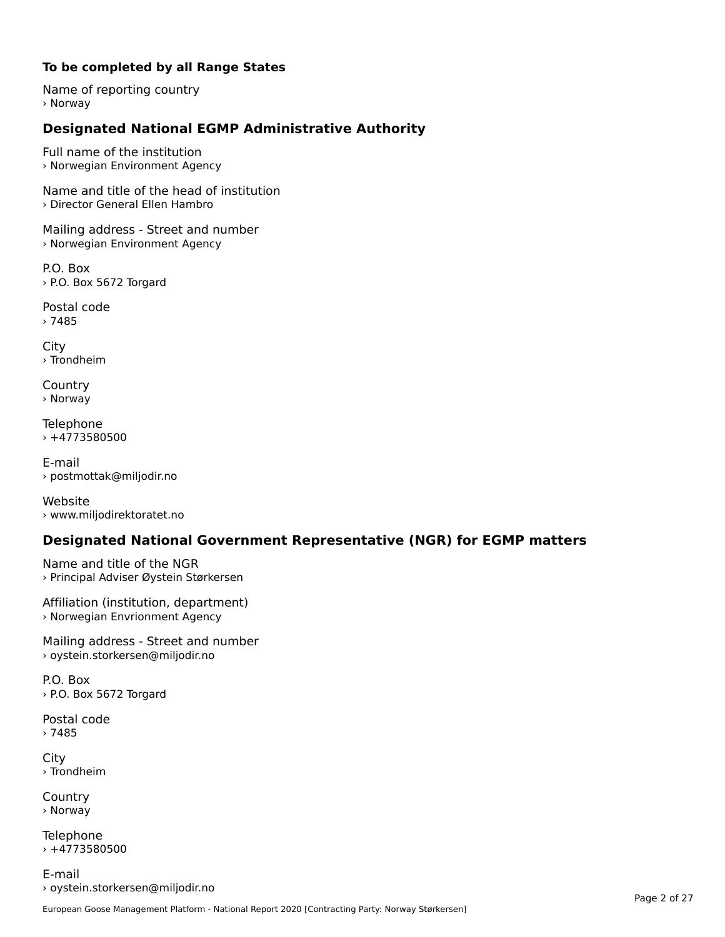#### **To be completed by all Range States**

Name of reporting country › Norway

# **Designated National EGMP Administrative Authority**

Full name of the institution › Norwegian Environment Agency

Name and title of the head of institution› Director General Ellen Hambro

Mailing address - Street and number › Norwegian Environment Agency

P.O. Box › P.O. Box 5672 Torgard

Postal code› 7485

City › Trondheim

**Country** › Norway

Telephone › +4773580500

E-mail› postmottak@miljodir.no

Website› www.miljodirektoratet.no

## **Designated National Government Representative (NGR) for EGMP matters**

Name and title of the NGR › Principal Adviser Øystein Størkersen

Affiliation (institution, department) › Norwegian Envrionment Agency

Mailing address - Street and number > oystein.storkersen@miljodir.no

P.O. Box › P.O. Box 5672 Torgard

Postal code› 7485

City › Trondheim

**Country** › Norway

Telephone  $+4773580500$ 

E-mail› oystein.storkersen@miljodir.no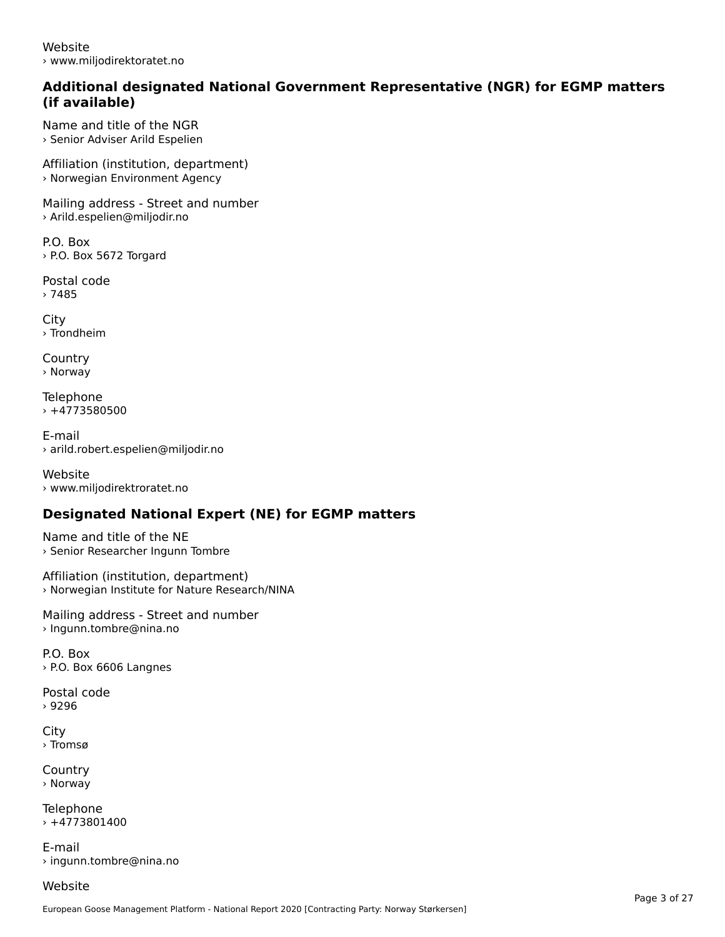Website› www.miljodirektoratet.no

#### **Additional designated National Government Representative (NGR) for EGMP matters (if available)**(if available)

Name and title of the NGR› Senior Adviser Arild Espelien

Affiliation (institution, department) › Norwegian Environment Agency

Mailing address - Street and number › Arild.espelien@miljodir.no

P.O. Box› P.O. Box 5672 Torgard

Postal code› 7485

**City** › Trondheim

**Country** › Norway

Telephone › +4773580500

E-mail› arild.robert.espelien@miljodir.no

Website › www.miljodirektroratet.no

# **Designated National Expert (NE) for EGMP matters**

Name and title of the NE › Senior Researcher Ingunn Tombre

Affiliation (institution, department) › Norwegian Institute for Nature Research/NINA

Mailing address - Street and number › Ingunn.tombre@nina.no

P.O. Box› P.O. Box 6606 Langnes

Postal code› 9296

**City** › Tromsø

**Country** › Norway

**Telephone**  $+4773801400$ 

E-mail› ingunn.tombre@nina.no

Website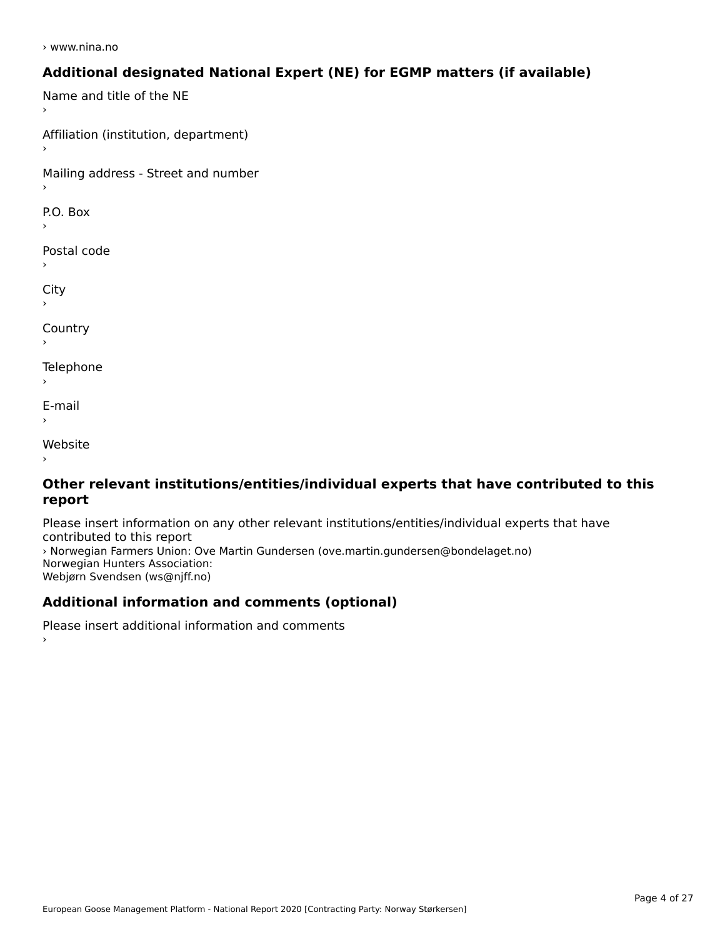› www.nina.no

## **Additional designated National Expert (NE) for EGMP matters (if available)**

Name and title of the NE Affiliation (institution, department) Mailing address - Street and number  $\overline{P}$ ›Postal code City ›**Country Telephone**  $\bar{\phantom{a}}$ E-mail›Website›

#### **Other relevant institutions/entities/individual experts that have contributed to this report**report

Please insert information on any other relevant institutions/entities/individual experts that have › Norwegian Farmers Union: Ove Martin Gundersen (ove.martin.gundersen@bondelaget.no) *,* Norwegian Fanners Omon. Ove<br>Norwegian Hunters Association: Webjørn Svendsen (ws@njff.no)

# **Additional information and comments (optional)**

Please insert additional information and comments ›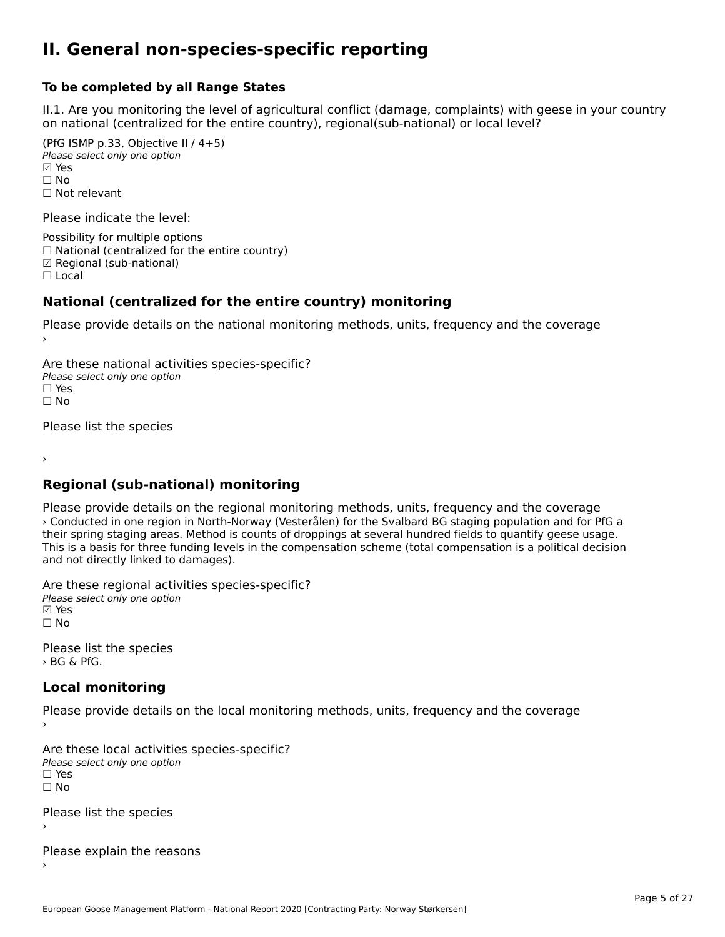#### **II. General non-species-specific reporting**

#### **To be completed by all Range States**

II.1. Are you monitoring the level of agricultural conflict (damage, complaints) with geese in your country n.i. Are you monitoring the lever or agricultural connict (damage, complaints) with g<br>on national (centralized for the entire country), regional(sub-national) or local level?

(PfG ISMP p.33, Objective II  $(4+5)$ ) Please select only one option ☑ Yes**☑ Yes**<br>□ No □ No<br>□ Not relevant

Please indicate the level:

Possibility for multiple options  $\Box$  National (centralized for the entire country) ☑ Regional (sub-national)

☐ Local

#### **National (centralized for the entire country) monitoring**

Please provide details on the national monitoring methods, units, frequency and the coverage

Are these national activities species-specific? Please select only one optionPlease select only one option<br>□ Yes ☐ No $\Box$  No

Please list the species

›

#### **Regional (sub-national) monitoring**

Please provide details on the regional monitoring methods, units, frequency and the coverage › Conducted in one region in North-Norway (Vesterålen) for the Svalbard BG staging population and for PfG a their spring staging areas. Method is counts of droppings at several hundred fields to quantify geese usage. their spring staging areas. Method is counts or droppings at several number hends to quantify geese usage.<br>This is a basis for three funding levels in the compensation scheme (total compensation is a political decision and not directly linked to damages).

Are these regional activities species-specific? ∧ne enese regional acciv<br>Please select only one option **☑ Yes**<br>□ No

Please list the species › BG & PfG.

# **Local monitoring**

Please provide details on the local monitoring methods, units, frequency and the coverage

Are these local activities species-specific? Please select only one option☐ Yes☐ No

Please list the species ›

Please explain the reasons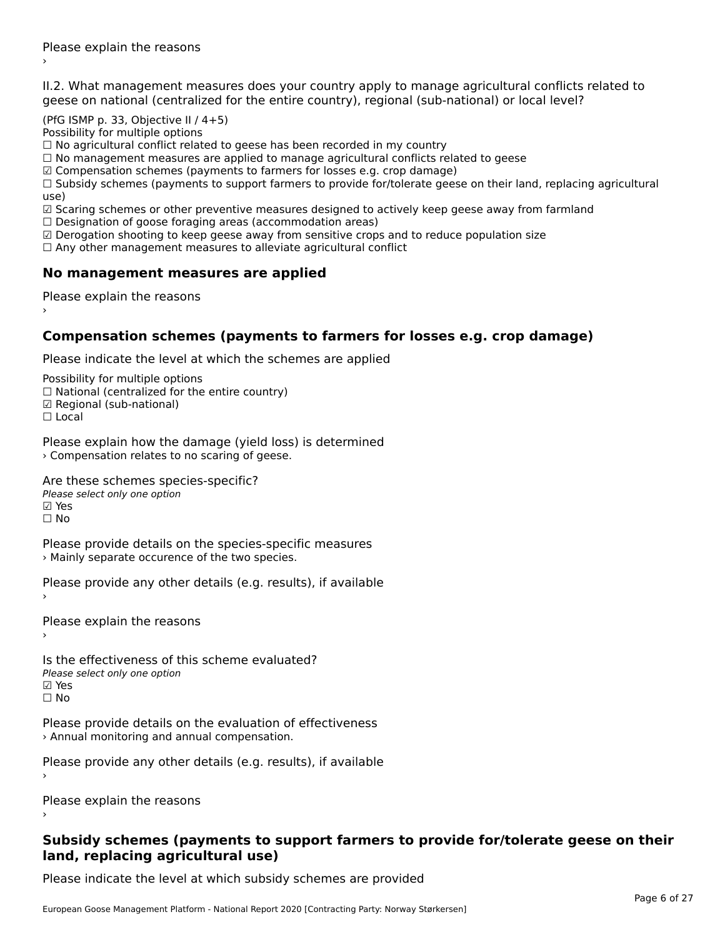II.2. What management measures does your country apply to manage agricultural conflicts related to

(PfG ISMP p. 33, Objective II  $(4+5)$ )

Possibility for multiple options

rossibility for maltiple options<br>□ No agricultural conflict related to geese has been recorded in my country

 $\Box$  No management measures are applied to manage agricultural conflicts related to geese

☑ Compensation schemes (payments to farmers for losses e.g. crop damage)

© Compensation schemes (payments to familers for losses e.g. crop damage)<br>□ Subsidy schemes (payments to support farmers to provide for/tolerate geese on their land, replacing agricultural

use,<br>☑ Scaring schemes or other preventive measures designed to actively keep geese away from farmland

**■** Scaring scrientes of other preventive measures designed to a<br>□ Designation of goose foraging areas (accommodation areas)

☑ Derogation shooting to keep geese away from sensitive crops and to reduce population size

⊠ Derogation shooting to keep geese away nom sensitive crops and<br>□ Any other management measures to alleviate agricultural conflict

# **No management measures are applied**

Please explain the reasons ›

# **Compensation schemes (payments to farmers for losses e.g. crop damage)**

Please indicate the level at which the schemes are applied

Possibility for multiple options

rossibility for multiple options<br>□ National (centralized for the entire country)

□ Regional (centranzed to<br>☑ Regional (sub-national)

☐ Local

Please explain how the damage (yield loss) is determined › Compensation relates to no scaring of geese.

Are these schemes species-specific?

ric criese serientes spec<br>Please select only one option

☑ Yes

☐ No

Please provide details on the species-specific measures › Mainly separate occurence of the two species.

Please provide any other details (e.g. results), if available

Please explain the reasons›

Is the effectiveness of this scheme evaluated?Please select only one option ☑ Yes☐ No

Please provide details on the evaluation of effectiveness › Annual monitoring and annual compensation.

Please provide any other details (e.g. results), if available

Please explain the reasons

#### **Subsidy schemes (payments to support farmers to provide for/tolerate geese on their land, replacing agricultural use)**land, replacing agricultural use)

Please indicate the level at which subsidy schemes are provided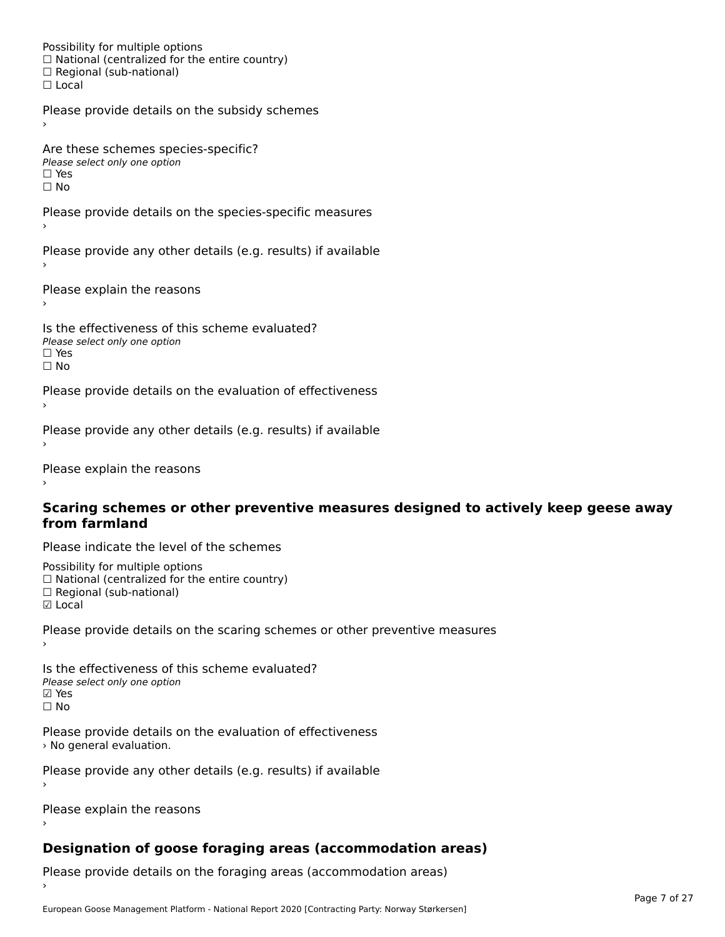Possibility for multiple options rossibility for multiple options<br>□ National (centralized for the entire country) □ National (centralized io<br>□ Regional (sub-national) ☐ Local

Please provide details on the subsidy schemes

Are these schemes species-specific? ∩ne these senemes spe<br>Please select only one option □ Yes<br>□ No

Please provide details on the species-specific measures

Please provide any other details (e.g. results) if available

Please explain the reasons

Is the effectiveness of this scheme evaluated?□ CITC CITCCLIVENC55 OF C<br>Please select only one option  $\square$  Yes ☐ No

Please provide details on the evaluation of effectiveness

Please provide any other details (e.g. results) if available

Please explain the reasons

#### **Scaring schemes or other preventive measures designed to actively keep geese away from farmland**

Please indicate the level of the schemes

Possibility for multiple options rossibility for multiple options<br>□ National (centralized for the entire country) □ National (centralized io<br>□ Regional (sub-national) ☑ Local

Please provide details on the scaring schemes or other preventive measures

Is the effectiveness of this scheme evaluated?Please select only one option☑ Yes☐ No

Please provide details on the evaluation of effectiveness riedse provide details<br>> No general evaluation.

Please provide any other details (e.g. results) if available

Please explain the reasons

# **Designation of goose foraging areas (accommodation areas)**

Please provide details on the foraging areas (accommodation areas)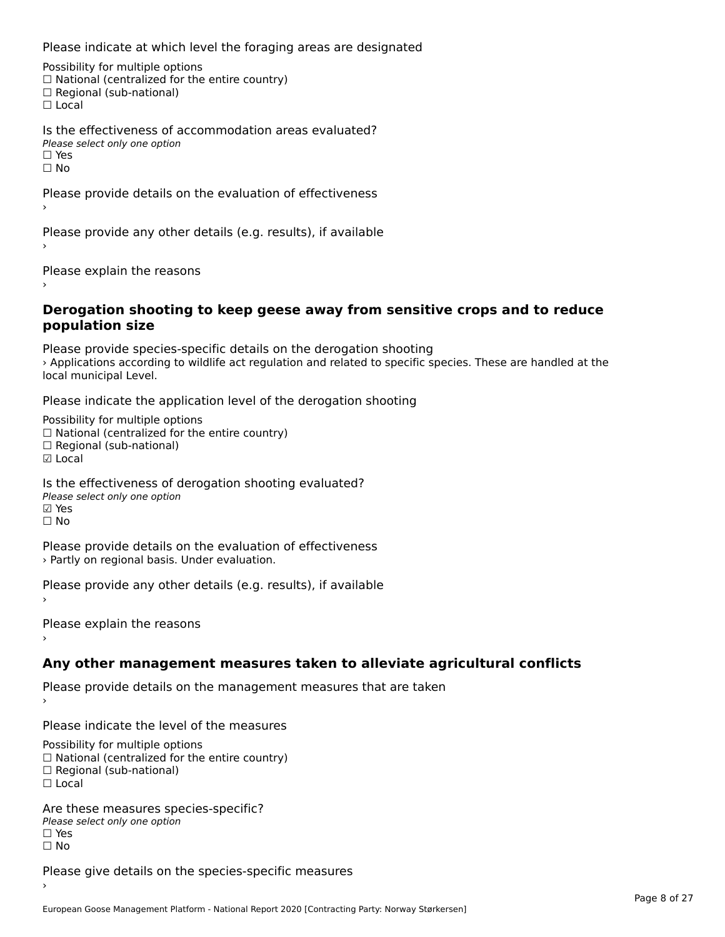Please indicate at which level the foraging areas are designated

Possibility for multiple options rossibility for multiple options<br>□ National (centralized for the entire country) □ Regional (sub-national)<br>□ Regional (sub-national)

Is the effectiveness of accommodation areas evaluated?Please select only one option ☐ Yesים וכ<br>⊡ No

Please provide details on the evaluation of effectiveness

Please provide any other details (e.g. results), if available

Please explain the reasons›

#### **Derogation shooting to keep geese away from sensitive crops and to reduce population size**population size

Please provide species-specific details on the derogation shooting › Applications according to wildlife act regulation and related to specific species. These are handled at the *Applications* according<br>local municipal Level.

Please indicate the application level of the derogation shooting

Possibility for multiple options rossibility for multiple options<br>□ National (centralized for the entire country) □ National (centralized io<br>□ Regional (sub-national) ☑ Local

Is the effectiveness of derogation shooting evaluated? □ the enectiveness of o<br>Please select only one option ☐ No

Please provide details on the evaluation of effectiveness › Partly on regional basis. Under evaluation.

Please provide any other details (e.g. results), if available

Please explain the reasons

**Any other management measures taken to alleviate agricultural conflicts**

Please provide details on the management measures that are taken

Please indicate the level of the measures

Possibility for multiple options rossibility for multiple options<br>□ National (centralized for the entire country) □ National (centralized io<br>□ Regional (sub-national) ☐ Local

Are these measures species-specific?∩ne these measures spe<br>Please select only one option □ Yes<br>□ No

Please give details on the species-specific measures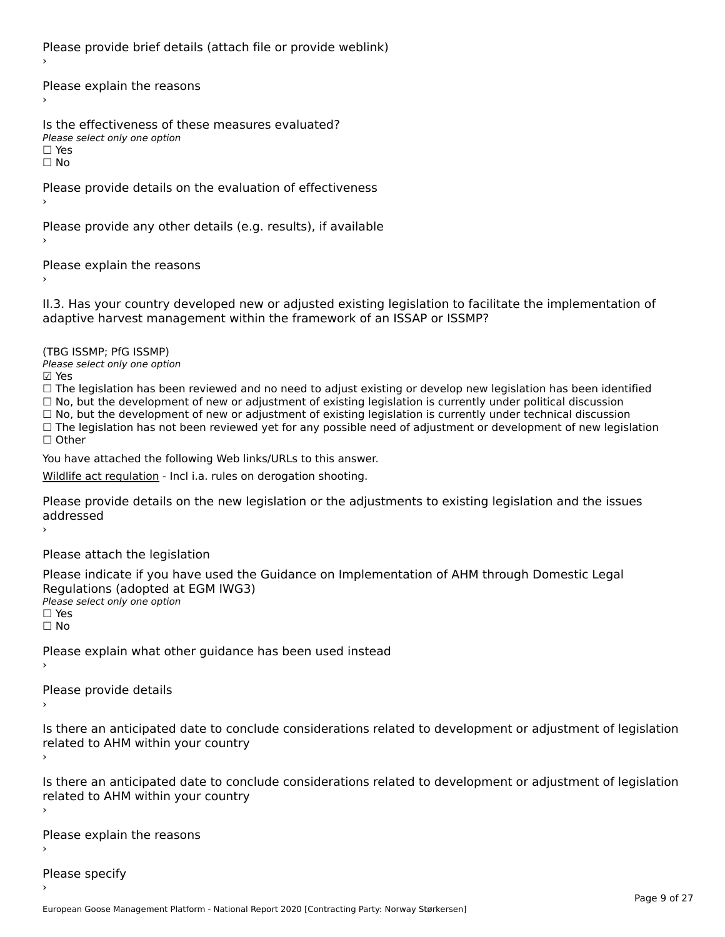Please provide brief details (attach file or provide weblink)

Please explain the reasons›

Is the effectiveness of these measures evaluated?Please select only one option☐ Yes☐ No

Please provide details on the evaluation of effectiveness

Please provide any other details (e.g. results), if available

Please explain the reasons›

II.3. Has your country developed new or adjusted existing legislation to facilitate the implementation of

(TBG ISSMP; PfG ISSMP)

Please select only one option ☑ Yes

☐ The legislation has been reviewed and no need to adjust existing or develop new legislation has been identified ☐ No, but the development of new or adjustment of existing legislation is currently under political discussion ☐ No, but the development of new or adjustment of existing legislation is currently under technical discussion $\Box$  No, but the development of new or adjustment of existing legislation is currently under technical discussion □ No, but the development of hew or adjustment of existing regislation is currently under technical discussion<br>□ The legislation has not been reviewed yet for any possible need of adjustment or development of new legislat

You have attached the following Web links/URLs to this answer.

[Wildlife act regulation](https://lovdata.no/dokument/SF/forskrift/2020-04-01-565?q=vilt) - Incl i.a. rules on derogation shooting.

Please provide details on the new legislation or the adjustments to existing legislation and the issues auuresseu

Please attach the legislation

Please indicate if you have used the Guidance on Implementation of AHM through Domestic Legal riease indicate ir you have used the<br>Regulations (adopted at EGM IWG3) **Regardents (dubpled a)**<br>Please select only one option ☐ Yes☐ No

Please explain what other guidance has been used instead

Please provide details

Is there an anticipated date to conclude considerations related to development or adjustment of legislation related to Arm within your country

Is there an anticipated date to conclude considerations related to development or adjustment of legislation Proced to Arm within your country

Please explain the reasons

Please specify›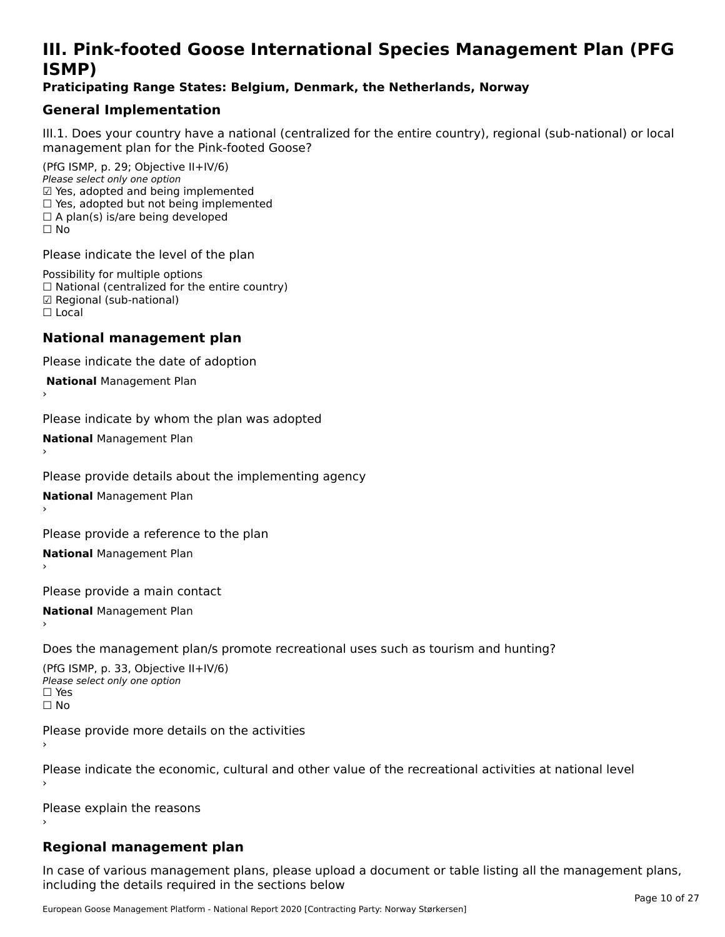# **III. Pink-footed Goose International Species Management Plan (PFG**III. FIIIN-IUULEU GUUSE IIILEI II**atiunai Species Management Fian (FTG**<br>ISMD)

#### **Praticipating Range States: Belgium, Denmark, the Netherlands, Norway**

## **General Implementation**

III.1. Does your country have a national (centralized for the entire country), regional (sub-national) or local

(PfG ISMP, p. 29; Objective II+IV/6) Please select only one option *Please select only one option*<br>☑ Yes, adopted and being implemented  $□$  Yes, adopted and being implemented  $□$  Yes, adopted but not being implemented  $\Box$  A plan(s) is/are being developed ☐ No

Please indicate the level of the plan

Possibility for multiple options rossibility for multiple options<br>□ National (centralized for the entire country) □ National (centralized io<br>☑ Regional (sub-national) ☐ Local

#### **National management plan**

Please indicate the date of adoption

 **National** Management Plan

›

Please indicate by whom the plan was adopted

**National** Management Plan ›

Please provide details about the implementing agency

**National** Management Plan ›

Please provide a reference to the plan

**National** Management Plan ›

Please provide a main contact

**National** Management Plan ›

Does the management plan/s promote recreational uses such as tourism and hunting?

(PfG ISMP, p. 33, Objective II+IV/6) Please select only one optionPlease select only one option  $\square$  Yes ☐ No

Please provide more details on the activities

Please indicate the economic, cultural and other value of the recreational activities at national level

Please explain the reasons

## **Regional management plan**

In case of various management plans, please upload a document or table listing all the management plans, $\frac{1}{2}$  case of various management plans, please uploa including the details required in the sections below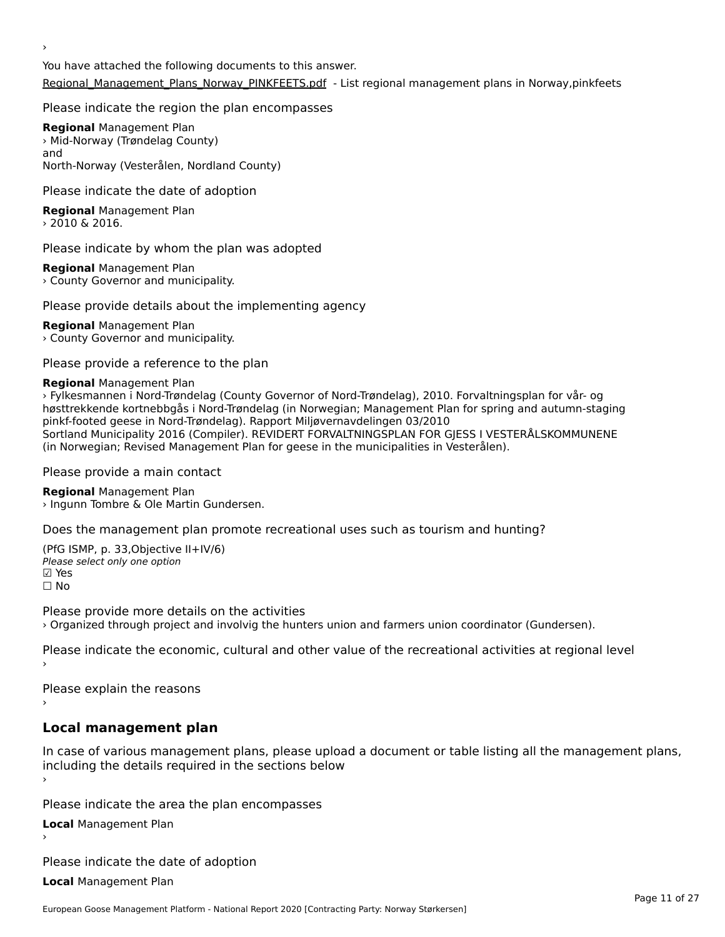›

You have attached the following documents to this answer.[Regional\\_Management\\_Plans\\_Norway\\_PINKFEETS.pdf](http://aewa-ort.ort-production.linode.unep-wcmc.org/answers/2848220/documents/1986) - List regional management plans in Norway,pinkfeets

#### Please indicate the region the plan encompasses

**Regional** Management Plan **Negional** Management Flan<br>> Mid-Norway (Trøndelag County) anu<br>North-Norway (Vesterålen, Nordland County)

#### Please indicate the date of adoption

**Regional** Management Plan  $\rightarrow$  2010 & 2016.

#### Please indicate by whom the plan was adopted

**Regional** Management Plan **Regional** Management Flan<br>> County Governor and municipality.

#### Please provide details about the implementing agency

**Regional** Management Plan **Regional** Management Flan<br>> County Governor and municipality.

Please provide a reference to the plan

#### **Regional** Management Plan

› Fylkesmannen i Nord-Trøndelag (County Governor of Nord-Trøndelag), 2010. Forvaltningsplan for vår- og høsttrekkende kortnebbgås i Nord-Trøndelag (in Norwegian; Management Plan for spring and autumn-staging pinkf-footed geese in Nord-Trøndelag). Rapport Miljøvernavdelingen 03/2010 Sortland Municipality 2016 (Compiler). REVIDERT FORVALTNINGSPLAN FOR GJESS I VESTERÅLSKOMMUNENE (in Norwegian; Revised Management Plan for geese in the municipalities in Vesterålen).

Please provide a main contact

**Regional** Management Plan **Negional** Management Flan<br>› Ingunn Tombre & Ole Martin Gundersen.

Does the management plan promote recreational uses such as tourism and hunting?

(PfG ISMP, p. 33,Objective II+IV/6) Please select only one option ☑ Yes☐ No

Please provide more details on the activities › Organized through project and involvig the hunters union and farmers union coordinator (Gundersen).

Please indicate the economic, cultural and other value of the recreational activities at regional level

Please explain the reasons ›

# **Local management plan**

In case of various management plans, please upload a document or table listing all the management plans, including the details required in the sections below

Please indicate the area the plan encompasses

**Local** Management Plan

Please indicate the date of adoption

**Local** Management Plan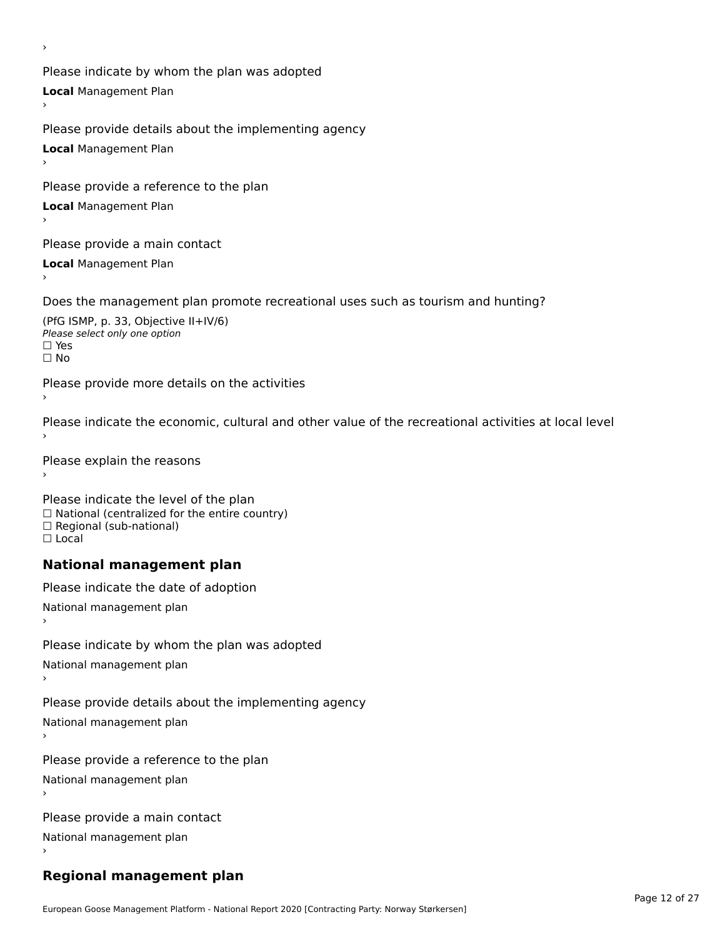Please indicate by whom the plan was adopted **Local** Management Plan

Please provide details about the implementing agency **Local** Management Plan

Please provide a reference to the plan

**Local** Management Plan

›

Please provide a main contact

**Local** Management Plan

Does the management plan promote recreational uses such as tourism and hunting?

(PfG ISMP, p. 33, Objective II+IV/6) ∩ Please select only one option □ Yes<br>□ No

Please provide more details on the activities

Please indicate the economic, cultural and other value of the recreational activities at local level

Please explain the reasons ›

Please indicate the level of the plan ∩ease marcate the lever of the plan<br>□ National (centralized for the entire country) □ National (centralized io<br>□ Regional (sub-national) ☐ Local

#### **National management plan**

Please indicate the date of adoption National management plan Please indicate by whom the plan was adopted National management plan Please provide details about the implementing agency National management plan

Please provide a reference to the plan

National management plan

Please provide a main contact

National management plan

# **Regional management plan**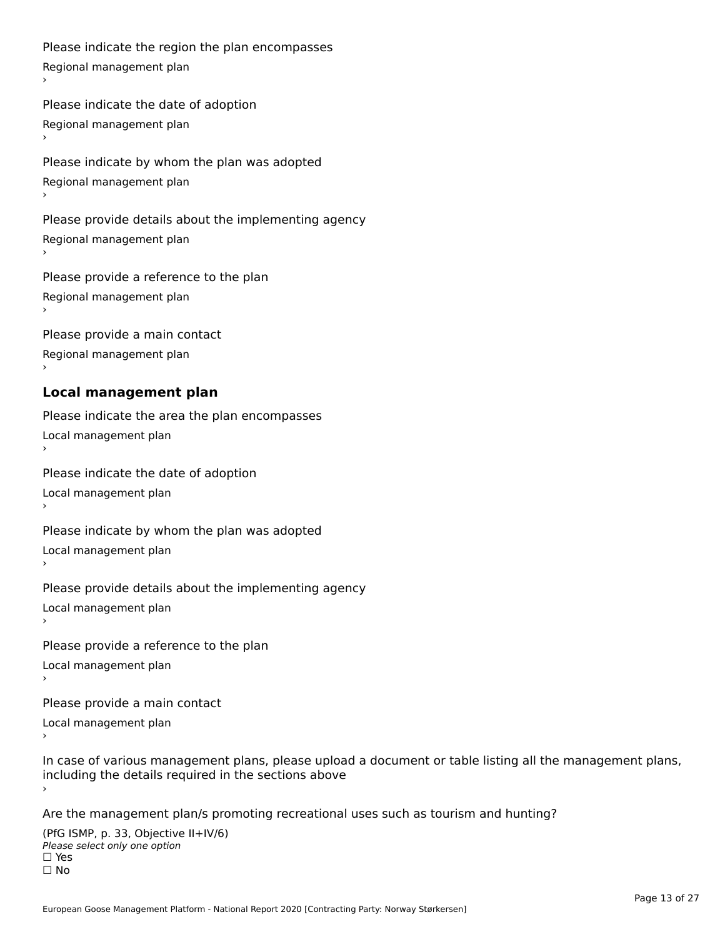Please indicate the region the plan encompasses Regional management plan

Please indicate the date of adoption Regional management plan

Please indicate by whom the plan was adopted Regional management plan

Please provide details about the implementing agency Regional management plan

Please provide a reference to the plan Regional management plan

Please provide a main contact Regional management plan

# **Local management plan**

Please indicate the area the plan encompasses Local management plan›

Please indicate the date of adoption Local management plan١,

Please indicate by whom the plan was adopted Local management plan›

Please provide details about the implementing agency Local management plan١,

Please provide a reference to the plan Local management plan

›

Please provide a main contact

Local management plan١,

In case of various management plans, please upload a document or table listing all the management plans,in case or various management plans, please upload including the details required in the sections above

Are the management plan/s promoting recreational uses such as tourism and hunting?

(PfG ISMP, p. 33, Objective II+IV/6) ∩ Please select only one option □ Yes<br>□ No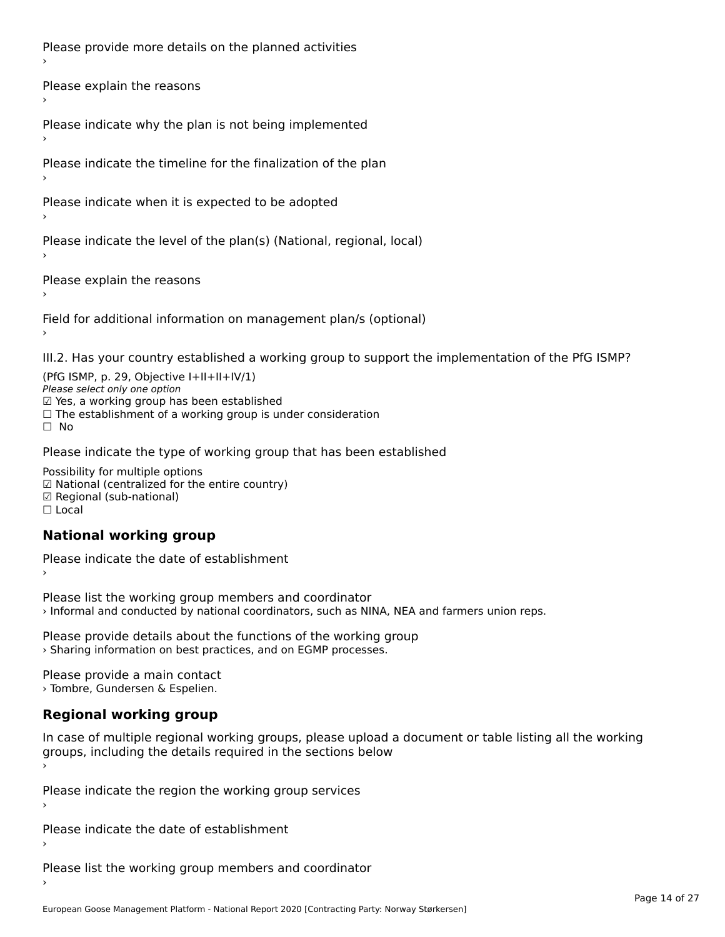Please provide more details on the planned activities

Please explain the reasons›

Please indicate why the plan is not being implemented

Please indicate the timeline for the finalization of the plan

Please indicate when it is expected to be adopted

Please indicate the level of the plan(s) (National, regional, local)

Please explain the reasons

Field for additional information on management plan/s (optional)

III.2. Has your country established a working group to support the implementation of the PfG ISMP?

(PfG ISMP, p. 29, Objective  $I+II+II+IV/1$ ) Please select only one option *riease select omy one option*<br>☑ Yes, a working group has been established □ Tes, a working group has been established<br>□ The establishment of a working group is under consideration

Please indicate the type of working group that has been established

Possibility for multiple options rossibility for multiple options<br>☑ National (centralized for the entire country) ☑ Regional (sub-national) ☐ Local

# **National working group**

Please indicate the date of establishment

Please list the working group members and coordinator › Informal and conducted by national coordinators, such as NINA, NEA and farmers union reps.

Please provide details about the functions of the working group › Sharing information on best practices, and on EGMP processes.

Please provide a main contact › Tombre, Gundersen & Espelien.

## **Regional working group**

In case of multiple regional working groups, please upload a document or table listing all the working groups, including the details required in the sections below

Please indicate the region the working group services ›

Please indicate the date of establishment ›

Please list the working group members and coordinator ›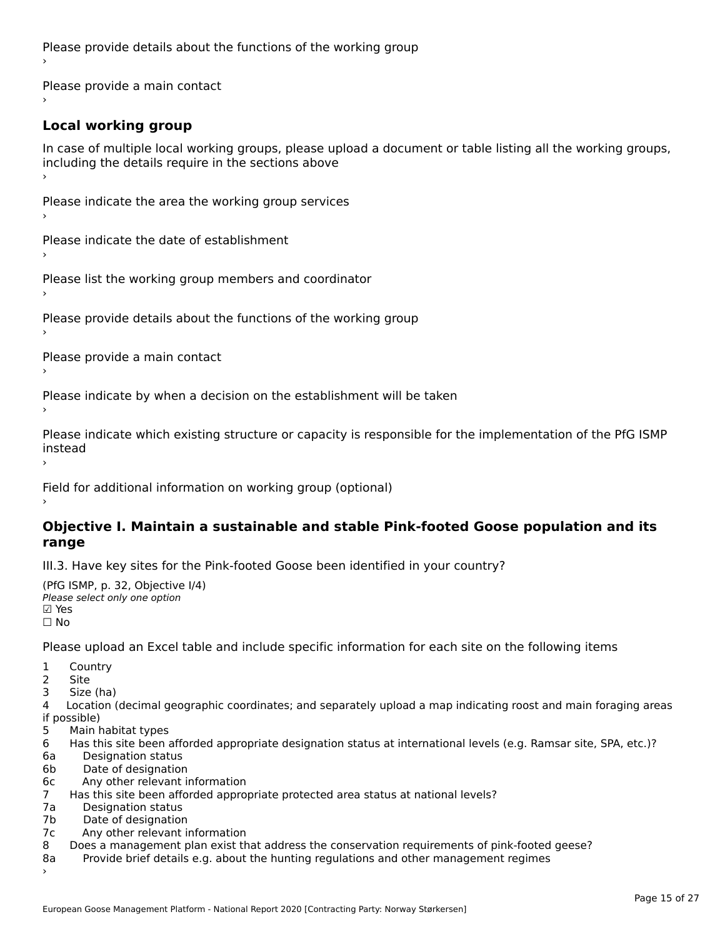Please provide details about the functions of the working group ›

Please provide a main contact ›

# **Local working group**

In case of multiple local working groups, please upload a document or table listing all the working groups, in case of multiple local working groups, please up ›

Please indicate the area the working group services ›

Please indicate the date of establishment ›

Please list the working group members and coordinator ›

Please provide details about the functions of the working group ›

Please provide a main contact ›

Please indicate by when a decision on the establishment will be taken

Please indicate which existing structure or capacity is responsible for the implementation of the PfG ISMP instead

Field for additional information on working group (optional)

#### **Objective I. Maintain a sustainable and stable Pink-footed Goose population and its range**range

III.3. Have key sites for the Pink-footed Goose been identified in your country?

```
(PfG ISMP, p. 32, Objective I/4)
יייכו סיווי, p: אב, סטןככנוע<br>Please select only one option
⊠ Yes<br>□ No
```
Please upload an Excel table and include specific information for each site on the following items

1 Country

2 Site

3 Size (ha)

4 Location (decimal geographic coordinates; and separately upload a map indicating roost and main foraging areas 4 Location<br>if possible)

- 5 Main habitat types
- 6 Has this site been afforded appropriate designation status at international levels (e.g. Ramsar site, SPA, etc.)?
- 6a Designation status
- 6b Date of designation
- 6c Any other relevant information
- 7 Has this site been afforded appropriate protected area status at national levels? 7a 11as uns site been and<br>7a 11a Desimetica status
- 7a Designation status<br>7b Date of designation
- 
- 7c Any other relevant information
- 8 Does a management plan exist that address the conservation requirements of pink-footed geese? 8a Provide brief details e.g. about the hunting regulations and other management regimes
- Provide brief details e.g. about the hunting regulations and other management regimes 8a<br>>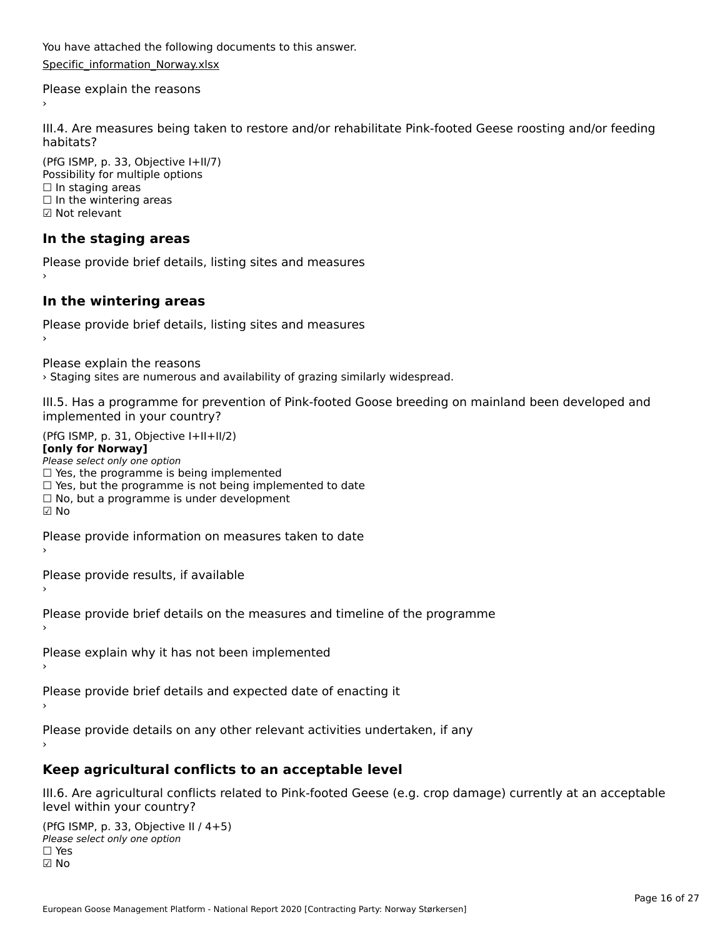You have attached the following documents to this answer.Specific information Norway.xlsx

Please explain the reasons›

III.4. Are measures being taken to restore and/or rehabilitate Pink-footed Geese roosting and/or feeding habitats?

(PfG ISMP, p. 33, Objective I+II/7) Possibility for multiple options ☐ In staging areas $\Box$  In staging areas □ in staging areas<br>□ In the wintering areas ☑ Not relevant

## **In the staging areas**

Please provide brief details, listing sites and measures ›

## **In the wintering areas**

Please provide brief details, listing sites and measures ›

Please explain the reasons

› Staging sites are numerous and availability of grazing similarly widespread.

III.5. Has a programme for prevention of Pink-footed Goose breeding on mainland been developed and implemented in your country?

 $(PC I CMP, p. 31, Ok)$ **[only for Norway]**

#### [only for Norway]

**Polly for Norway,**<br>Please select only one option riease select only one option<br>□ Yes, the programme is being implemented □ Tes, the programme is being implemented<br>□ Yes, but the programme is not being implemented to date □ Tes, but the programme is not being implem<br>□ No, but a programme is under development  $\boxtimes$  No

Please provide information on measures taken to date

Please provide results, if available

Please provide brief details on the measures and timeline of the programme

Please explain why it has not been implemented

Please provide brief details and expected date of enacting it

Please provide details on any other relevant activities undertaken, if any

#### **Keep agricultural conflicts to an acceptable level**

III.6. Are agricultural conflicts related to Pink-footed Geese (e.g. crop damage) currently at an acceptable level within your country?

(PfG ISMP, p. 33, Objective II  $(4+5)$ ) ∩ Please select only one option ☑ No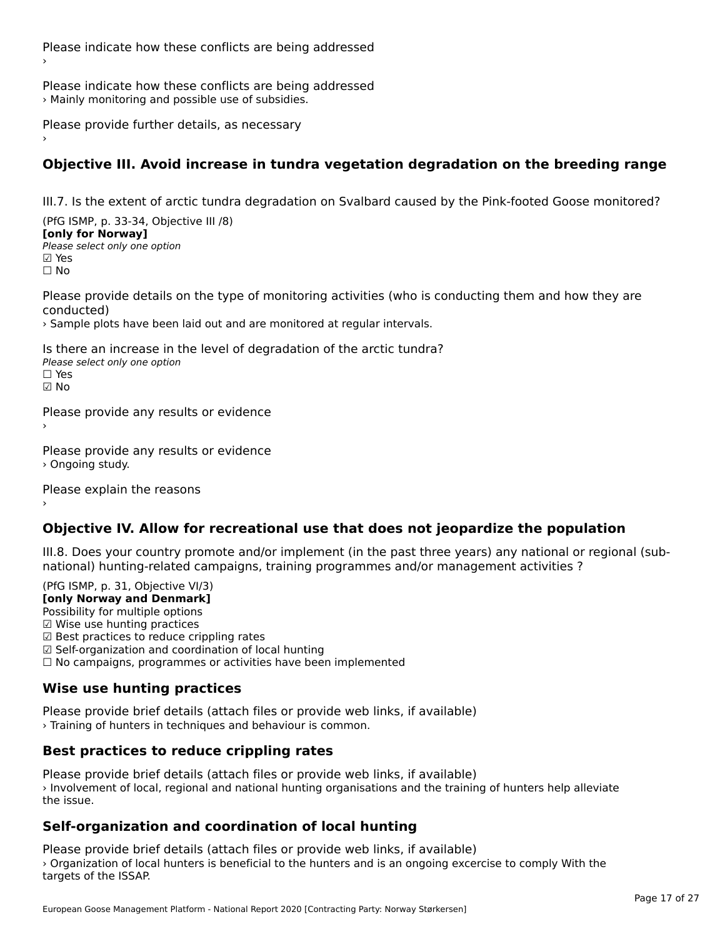Please indicate how these conflicts are being addressed › Mainly monitoring and possible use of subsidies.

Please provide further details, as necessary ›

## **Objective III. Avoid increase in tundra vegetation degradation on the breeding range**

III.7. Is the extent of arctic tundra degradation on Svalbard caused by the Pink-footed Goose monitored?

(PfG ISMP, p. 33-34, Objective III /8) **[only for Norway] ∐omy for Norway]**<br>Please select only one option

☐ No

Please provide details on the type of monitoring activities (who is conducting them and how they are conducted)

› Sample plots have been laid out and are monitored at regular intervals.

Is there an increase in the level of degradation of the arctic tundra? Please select only one optionriease<br>□ Yes ☑ No

Please provide any results or evidence

Please provide any results or evidence › Ongoing study.

Please explain the reasons

## **Objective IV. Allow for recreational use that does not jeopardize the population**

III.8. Does your country promote and/or implement (in the past three years) any national or regional (subnno. Does your country promote and/or implement (in the past timee years) any national or<br>national) hunting-related campaigns, training programmes and/or management activities ?

(PfG ISMP, p. 31, Objective VI/3)

**[only Norway and Denmark]** Possibility for multiple options Possibility for multiple options  $\boxtimes$  Wise use hunting practices ⊠ wise use nunting practices<br>☑ Best practices to reduce crippling rates ☑ Self-organization and coordination of local hunting ⊠ Sen-organization and coordination or local nunting<br>□ No campaigns, programmes or activities have been implemented

# **Wise use hunting practices**

Please provide brief details (attach files or provide web links, if available) › Training of hunters in techniques and behaviour is common.

## **Best practices to reduce crippling rates**

Please provide brief details (attach files or provide web links, if available) › Involvement of local, regional and national hunting organisations and the training of hunters help alleviate the issue.

## **Self-organization and coordination of local hunting**

Please provide brief details (attach files or provide web links, if available) › Organization of local hunters is beneficial to the hunters and is an ongoing excercise to comply With the *,* Organization or loca<br>targets of the ISSAP.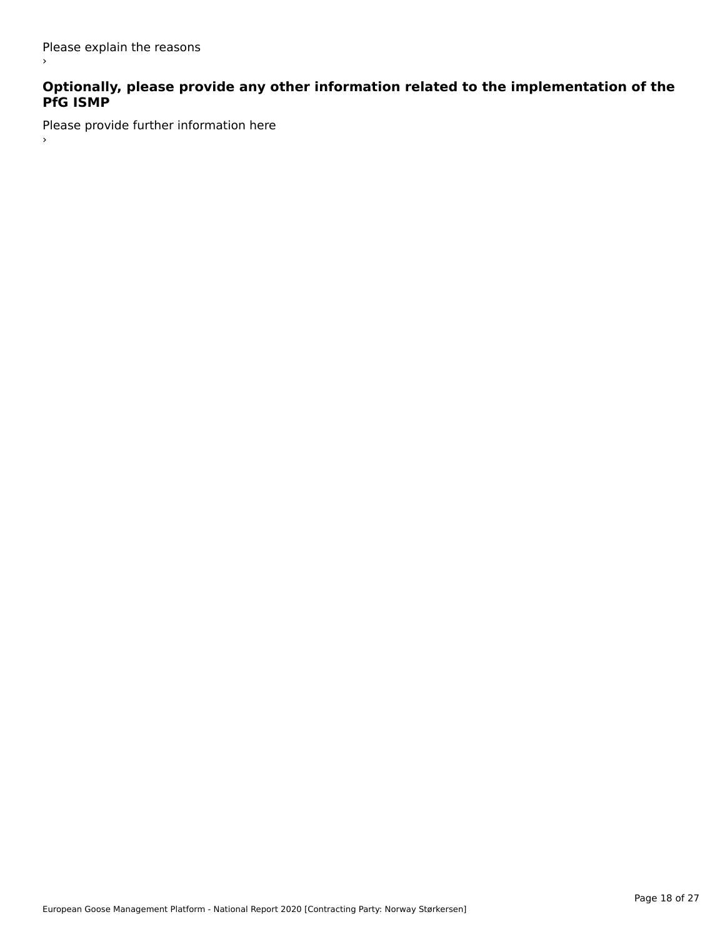$\,$ 

# **Optionally, please provide any other information related to the implementation of the PfG ISMP**

Please provide further information here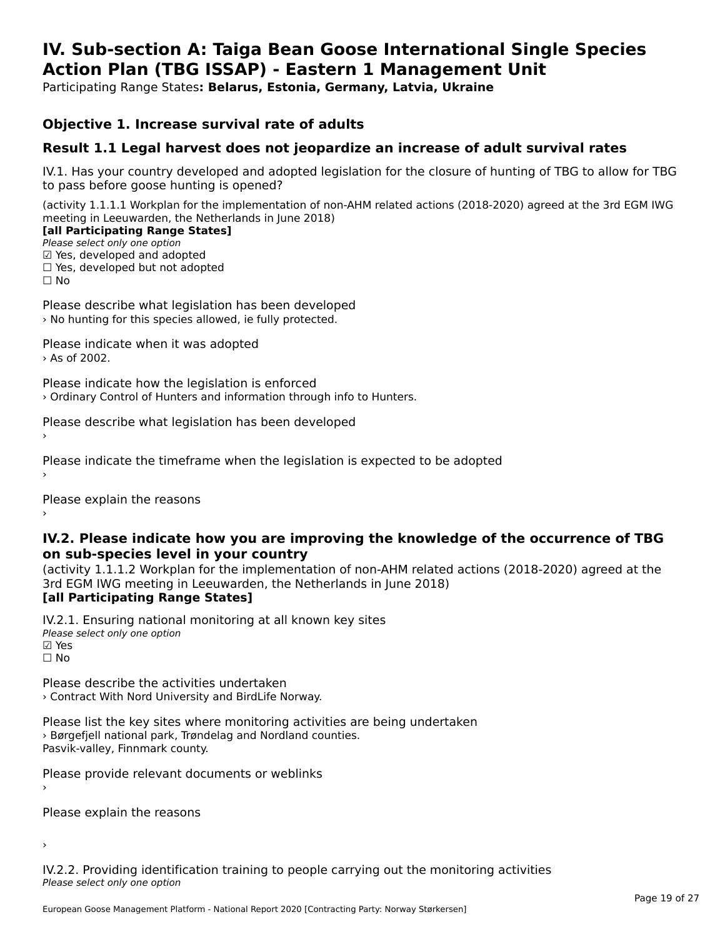#### **IV. Sub-section A: Taiga Bean Goose International Single Species Action Plan (TBG ISSAP) - Eastern 1 Management UnitAction Plan (TBG ISSAP) - Eastern 1 Management Unit**

Participating Range States**: Belarus, Estonia, Germany, Latvia, Ukraine** 

#### **Objective 1. Increase survival rate of adults**

## **Result 1.1 Legal harvest does not jeopardize an increase of adult survival rates**

IV.1. Has your country developed and adopted legislation for the closure of hunting of TBG to allow for TBG IV.1. Thas your country developed and add<br>to pass before goose hunting is opened?

(activity 1.1.1.1 Workplan for the implementation of non-AHM related actions (2018-2020) agreed at the 3rd EGM IWG meeting in Leeuwarden, the Netherlands in June 2018) **[all Participating Range States]**

[all Participating Range States]

Please select only one option ☑ Yes, developed and adopted

 ☐ Yes, developed but not adopted $\Box$  ies, developed but not adopted

Please describe what legislation has been developed › No hunting for this species allowed, ie fully protected.

Please indicate when it was adopted › As of 2002.

Please indicate how the legislation is enforced › Ordinary Control of Hunters and information through info to Hunters.

Please describe what legislation has been developed

Please indicate the timeframe when the legislation is expected to be adopted

Please explain the reasons

#### **IV.2. Please indicate how you are improving the knowledge of the occurrence of TBG on sub-species level in your country**on sub-species level in your country

on sub-species fever in your country<br>(activity 1.1.1.2 Workplan for the implementation of non-AHM related actions (2018-2020) agreed at the **Brd EGM IWG meeting in Leeuwarden, the Netherlands in June 2018)** 

#### [all Participating Range States]

IV.2.1. Ensuring national monitoring at all known key sites ™ Ensuring nutional<br>Please select only one option **⊠** Yes ☐ No

Please describe the activities undertaken › Contract With Nord University and BirdLife Norway.

Please list the key sites where monitoring activities are being undertaken **Predict in the Key stress where monitoring activities are particles**. Pasvik-valley, Finnmark county.

Please provide relevant documents or weblinks

Please explain the reasons

›

IV.2.2. Providing identification training to people carrying out the monitoring activities Please select only one option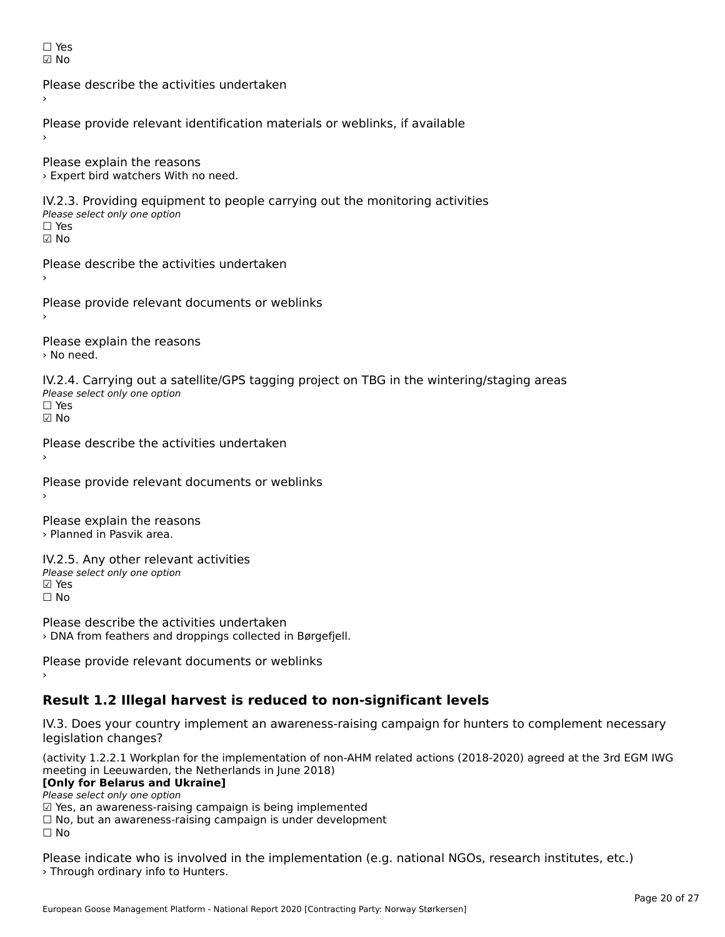| Y<br>L.<br>۰ |
|--------------|
| n            |

Please describe the activities undertaken›Please provide relevant identification materials or weblinks, if available Please explain the reasons › Expert bird watchers With no need. IV.2.3. Providing equipment to people carrying out the monitoring activities Please select only one option ☐ Yes☑ NoPlease describe the activities undertaken›Please provide relevant documents or weblinks Please explain the reasons › No need. IV.2.4. Carrying out a satellite/GPS tagging project on TBG in the wintering/staging areas rv.2.4. Carrying out a sc<br>Please select only one option ☐ Yes☑ No Please describe the activities undertaken›Please provide relevant documents or weblinks Please explain the reasons › Planned in Pasvik area. IV.2.5. Any other relevant activities Please select only one option ☑ Yes☐ NoPlease describe the activities undertaken

› DNA from feathers and droppings collected in Børgefjell.

Please provide relevant documents or weblinks

# **Result 1.2 Illegal harvest is reduced to non-significant levels**

IV.3. Does your country implement an awareness-raising campaign for hunters to complement necessary legislation changes?

(activity 1.2.2.1 Workplan for the implementation of non-AHM related actions (2018-2020) agreed at the 3rd EGM IWG meeting in Leeuwarden, the Netherlands in June 2018) **[Only for Belarus and Ukraine]**

[Only for Belarus and Ukraine] Please select only one option

riease select only one option<br>□ Yes, an awareness-raising campaign is being implemented<br>□ No, but an awareness-raising campaign is under development

□ No, but an awareness-raising campaign is under development<br>□ N

 $\square$  No

Please indicate who is involved in the implementation (e.g. national NGOs, research institutes, etc.) › Through ordinary info to Hunters.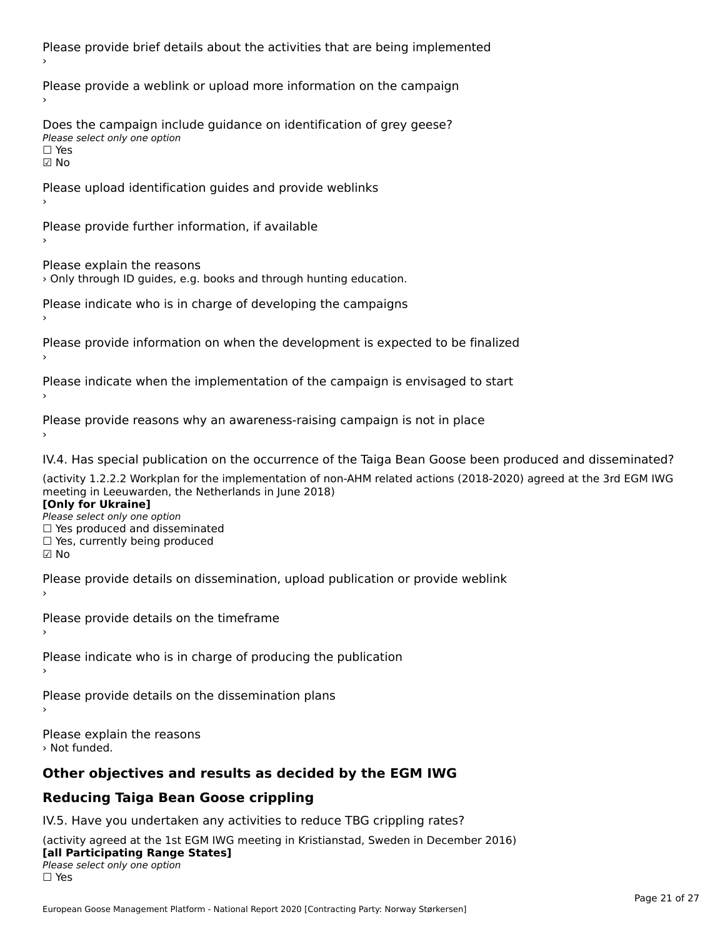Please provide brief details about the activities that are being implemented Please provide a weblink or upload more information on the campaign Does the campaign include guidance on identification of grey geese? **DOCS** the campaign mer<br>Please select only one option ☑ NoPlease upload identification guides and provide weblinks Please provide further information, if available Please explain the reasons › Only through ID guides, e.g. books and through hunting education. Please indicate who is in charge of developing the campaigns Please provide information on when the development is expected to be finalized Please indicate when the implementation of the campaign is envisaged to start Please provide reasons why an awareness-raising campaign is not in place IV.4. Has special publication on the occurrence of the Taiga Bean Goose been produced and disseminated? (activity 1.2.2.2 Workplan for the implementation of non-AHM related actions (2018-2020) agreed at the 3rd EGM IWG meeting in Leeuwarden, the Netherlands in June 2018) **[Only for Ukraine] Please select only one option** *Please select only one option*<br>□ Yes produced and disseminated □ Tes produced and dissemmate<br>□ Yes, currently being produced  $\boxtimes$  No Please provide details on dissemination, upload publication or provide weblink Please provide details on the timeframe Please indicate who is in charge of producing the publication Please provide details on the dissemination plans Please explain the reasons › Not funded.**Other objectives and results as decided by the EGM IWG Reducing Taiga Bean Goose crippling**

## IV.5. Have you undertaken any activities to reduce TBG crippling rates?

(activity agreed at the 1st EGM IWG meeting in Kristianstad, Sweden in December 2016) **[all Participating Range States]** Please select only one option☐ Yes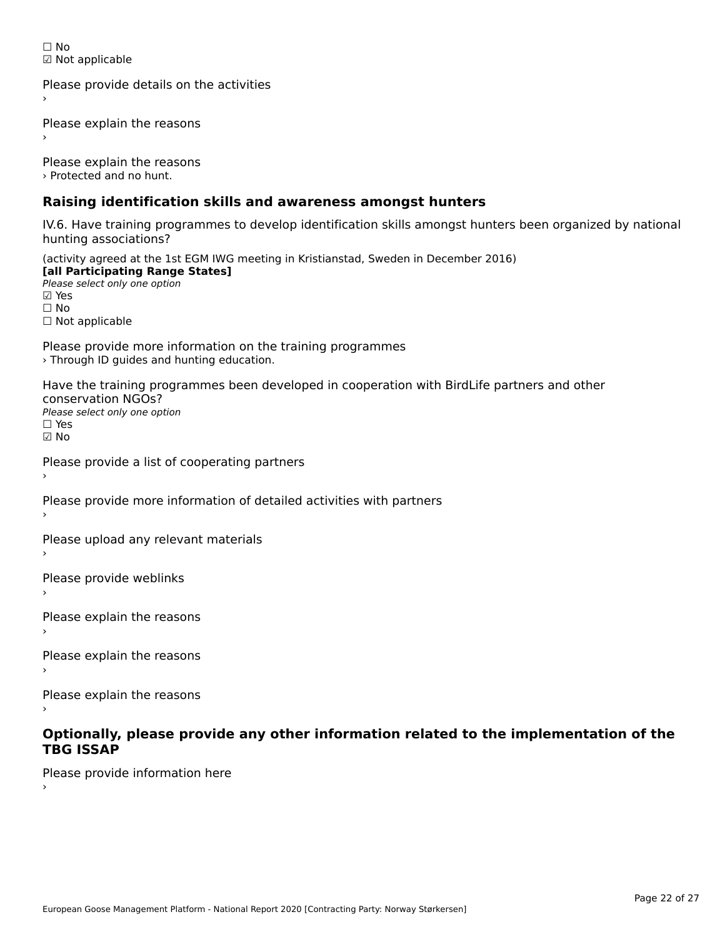☐ No☑ Not applicable

Please provide details on the activities

Please explain the reasons

Please explain the reasons › Protected and no hunt.

## **Raising identification skills and awareness amongst hunters**

IV.6. Have training programmes to develop identification skills amongst hunters been organized by national rv.o. riave training pro<br>hunting associations?

(activity agreed at the 1st EGM IWG meeting in Kristianstad, Sweden in December 2016) **[all Participating Range States] Fair T articipating Range**<br>Please select only one option

☐ No□ Not applicable

Please provide more information on the training programmes › Through ID guides and hunting education.

Have the training programmes been developed in cooperation with BirdLife partners and other conservation NGOs? Please select only one option☐ Yes

☑ No

›

Please provide a list of cooperating partners

Please provide more information of detailed activities with partners

Please upload any relevant materials

Please provide weblinks

Please explain the reasons

Please explain the reasons›

Please explain the reasons

# **Optionally, please provide any other information related to the implementation of the TBG ISSAP**

Please provide information here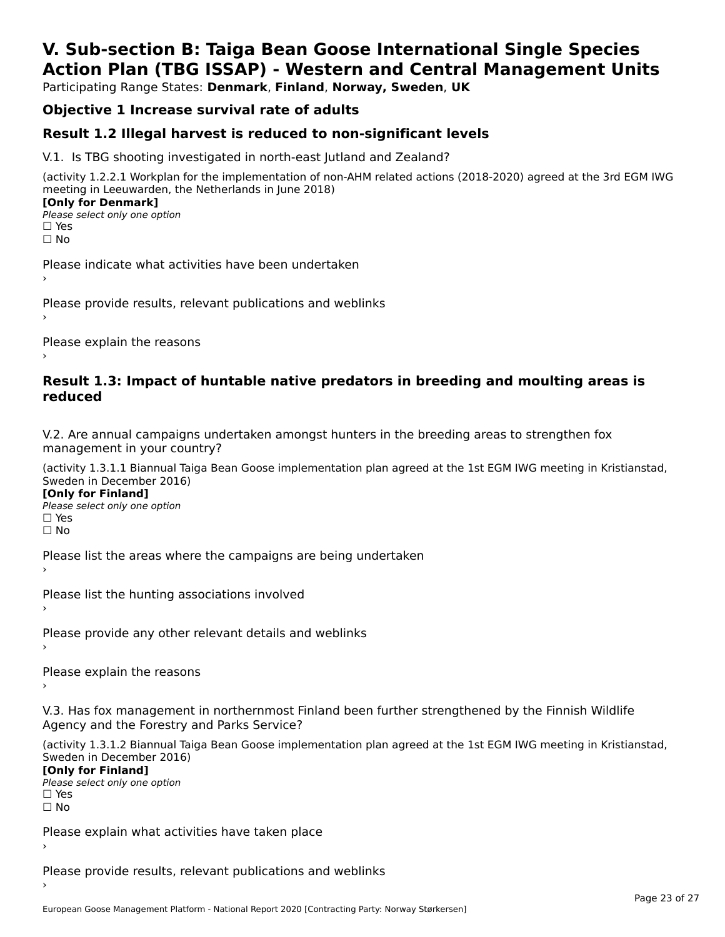# **V. Sub-section B: Taiga Bean Goose International Single SpeciesAction Plan (TBG ISSAP) - Western and Central Management Units**

Participating Range States: **Denmark**, **Finland**, **Norway, Sweden**, **UK**

# **Objective 1 Increase survival rate of adults**

## **Result 1.2 Illegal harvest is reduced to non-significant levels**

V.1. Is TBG shooting investigated in north-east Jutland and Zealand?

(activity 1.2.2.1 Workplan for the implementation of non-AHM related actions (2018-2020) agreed at the 3rd EGM IWG meeting in Leeuwarden, the Netherlands in June 2018) **[Only for Denmark] LOTTLY TOT DETITIONS**<br>Please select only one option

*riease*<br>□ Yes<br>□ No

Please indicate what activities have been undertaken›

Please provide results, relevant publications and weblinks ›

Please explain the reasons

#### **Result 1.3: Impact of huntable native predators in breeding and moulting areas is reduced**

V.2. Are annual campaigns undertaken amongst hunters in the breeding areas to strengthen fox v.z. Are annual campaigns und<br>management in your country?

(activity 1.3.1.1 Biannual Taiga Bean Goose implementation plan agreed at the 1st EGM IWG meeting in Kristianstad, Sweden in December 2016)

**[Only for Finland]** Please select only one optionriease<br>□ Yes □ Yes<br>□ No

Please list the areas where the campaigns are being undertaken

Please list the hunting associations involved

Please provide any other relevant details and weblinks ›

Please explain the reasons›

V.3. Has fox management in northernmost Finland been further strengthened by the Finnish Wildlife v.5. Has fox management in northernmost F<br>Agency and the Forestry and Parks Service?

(activity 1.3.1.2 Biannual Taiga Bean Goose implementation plan agreed at the 1st EGM IWG meeting in Kristianstad, Sweden in December 2016) Sweden in December 2016)

[Only for Finland]

**Please select only one option** □ Yes<br>□ No

Please explain what activities have taken place

Please provide results, relevant publications and weblinks ›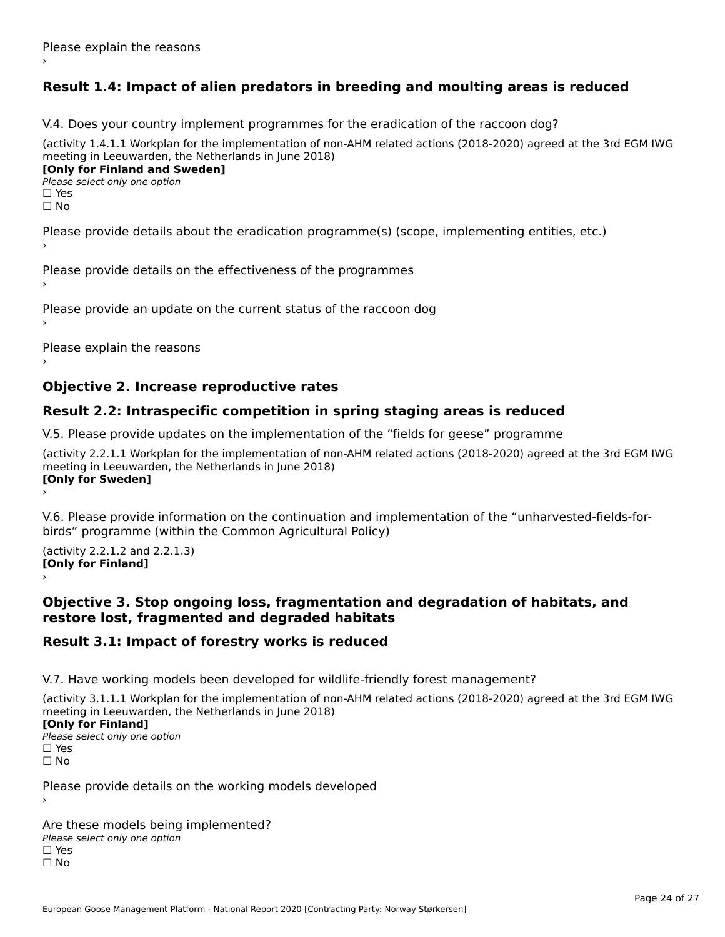# **Result 1.4: Impact of alien predators in breeding and moulting areas is reduced**

V.4. Does your country implement programmes for the eradication of the raccoon dog?

(activity 1.4.1.1 Workplan for the implementation of non-AHM related actions (2018-2020) agreed at the 3rd EGM IWG meeting in Leeuwarden, the Netherlands in June 2018) **[Only for Finland and Sweden]**

**Please select only one option** 

□ Yes<br>□ No

Please provide details about the eradication programme(s) (scope, implementing entities, etc.)

Please provide details on the effectiveness of the programmes

Please provide an update on the current status of the raccoon dog

Please explain the reasons

### **Objective 2. Increase reproductive rates**

#### **Result 2.2: Intraspecific competition in spring staging areas is reduced**

V.5. Please provide updates on the implementation of the "fields for geese" programme

(activity 2.2.1.1 Workplan for the implementation of non-AHM related actions (2018-2020) agreed at the 3rd EGM IWG meeting in Leeuwarden, the Netherlands in June 2018) **[Only for Sweden]**Loury for Swedent

V.6. Please provide information on the continuation and implementation of the "unharvested-fields-forbirds" programme (within the Common Agricultural Policy)birds" programme (within the Common Agricultural Policy)

(activity 2.2.1.2 and 2.2.1.3) **[Only for Finland]** ›

#### **Objective 3. Stop ongoing loss, fragmentation and degradation of habitats, and restore lost, fragmented and degraded habitats**

### **Result 3.1: Impact of forestry works is reduced**

V.7. Have working models been developed for wildlife-friendly forest management?

(activity 3.1.1.1 Workplan for the implementation of non-AHM related actions (2018-2020) agreed at the 3rd EGM IWG meeting in Leeuwarden, the Netherlands in June 2018)

#### **[Only for Finland]**

**Please select only one option** □ Yes<br>□ No

Please provide details on the working models developed

Are these models being implemented? ∩ne enese moders being<br>Please select only one option □ Yes<br>□ No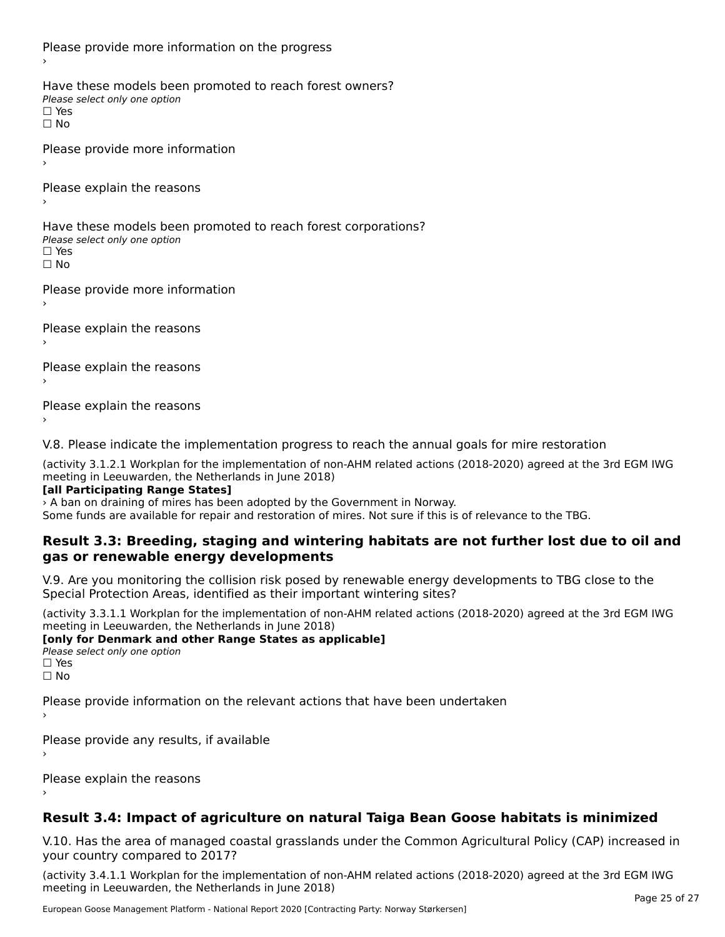Please provide more information on the progress Have these models been promoted to reach forest owners? ∩ave these models bee<br>Please select only one option □ Yes<br>□ No Please provide more information Please explain the reasons ›Have these models been promoted to reach forest corporations? ∩ave these models bee<br>Please select only one option

□ Yes<br>□ No

Please provide more information

Please explain the reasons ›

Please explain the reasons

Please explain the reasons

›

V.8. Please indicate the implementation progress to reach the annual goals for mire restoration

(activity 3.1.2.1 Workplan for the implementation of non-AHM related actions (2018-2020) agreed at the 3rd EGM IWG meeting in Leeuwarden, the Netherlands in June 2018)

#### **[all Participating Range States]**

› A ban on draining of mires has been adopted by the Government in Norway.

Some funds are available for repair and restoration of mires. Not sure if this is of relevance to the TBG.

#### **Result 3.3: Breeding, staging and wintering habitats are not further lost due to oil andgas or renewable energy developments**gas or renewable energy developments

V.9. Are you monitoring the collision risk posed by renewable energy developments to TBG close to the Special Protection Areas, identified as their important wintering sites?

(activity 3.3.1.1 Workplan for the implementation of non-AHM related actions (2018-2020) agreed at the 3rd EGM IWG meeting in Leeuwarden, the Netherlands in June 2018)

**[only for Denmark and other Range States as applicable] Please select only one option** □ Yes<br>□ No

Please provide information on the relevant actions that have been undertaken ›

Please provide any results, if available

Please explain the reasons

# **Result 3.4: Impact of agriculture on natural Taiga Bean Goose habitats is minimized**

V.10. Has the area of managed coastal grasslands under the Common Agricultural Policy (CAP) increased in

(activity 3.4.1.1 Workplan for the implementation of non-AHM related actions (2018-2020) agreed at the 3rd EGM IWG meeting in Leeuwarden, the Netherlands in June 2018)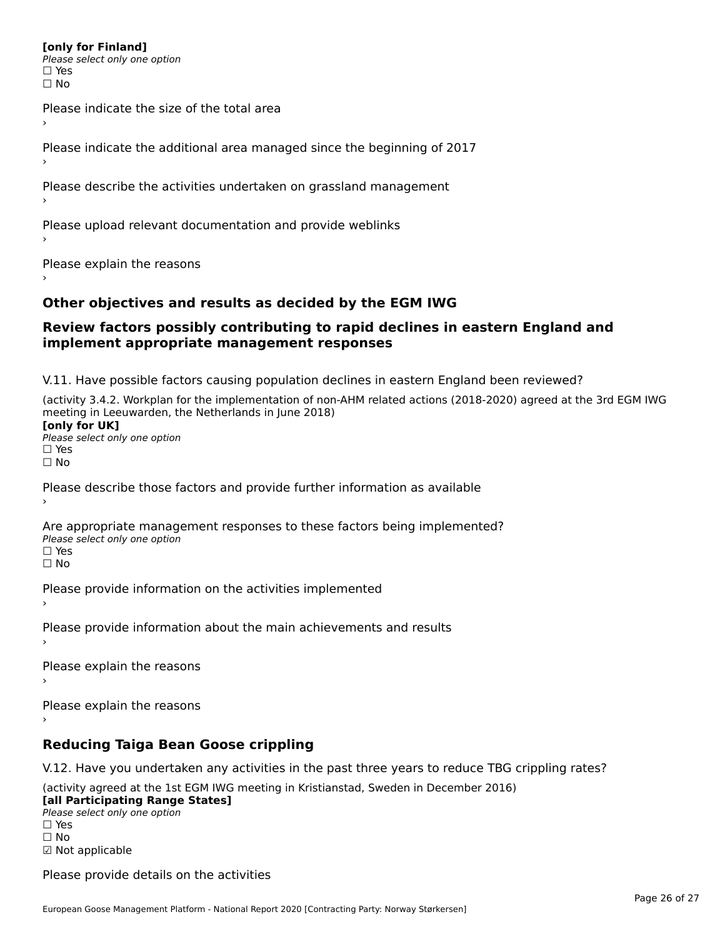#### **[only for Finland]**

**Please select only one option** ים וכ∍<br>⊡ No

Please indicate the size of the total area›

Please indicate the additional area managed since the beginning of 2017

Please describe the activities undertaken on grassland management

Please upload relevant documentation and provide weblinks

Please explain the reasons

#### **Other objectives and results as decided by the EGM IWG**

#### **Review factors possibly contributing to rapid declines in eastern England and implement appropriate management responses**implement appropriate management responses

V.11. Have possible factors causing population declines in eastern England been reviewed?

(activity 3.4.2. Workplan for the implementation of non-AHM related actions (2018-2020) agreed at the 3rd EGM IWG meeting in Leeuwarden, the Netherlands in June 2018) **[only for UK]**Please select only one optionriease<br>□ Yes □ Yes<br>□ No

Please describe those factors and provide further information as available

Are appropriate management responses to these factors being implemented? Please select only one option □ Yes<br>□ No

Please provide information on the activities implemented

Please provide information about the main achievements and results

Please explain the reasons

Please explain the reasons

#### **Reducing Taiga Bean Goose crippling**

V.12. Have you undertaken any activities in the past three years to reduce TBG crippling rates?

(activity agreed at the 1st EGM IWG meeting in Kristianstad, Sweden in December 2016)

**[all Participating Range States] Law Tarticipating Range**<br>Please select only one option □ Yes<br>□ No

☑ Not applicable

Please provide details on the activities